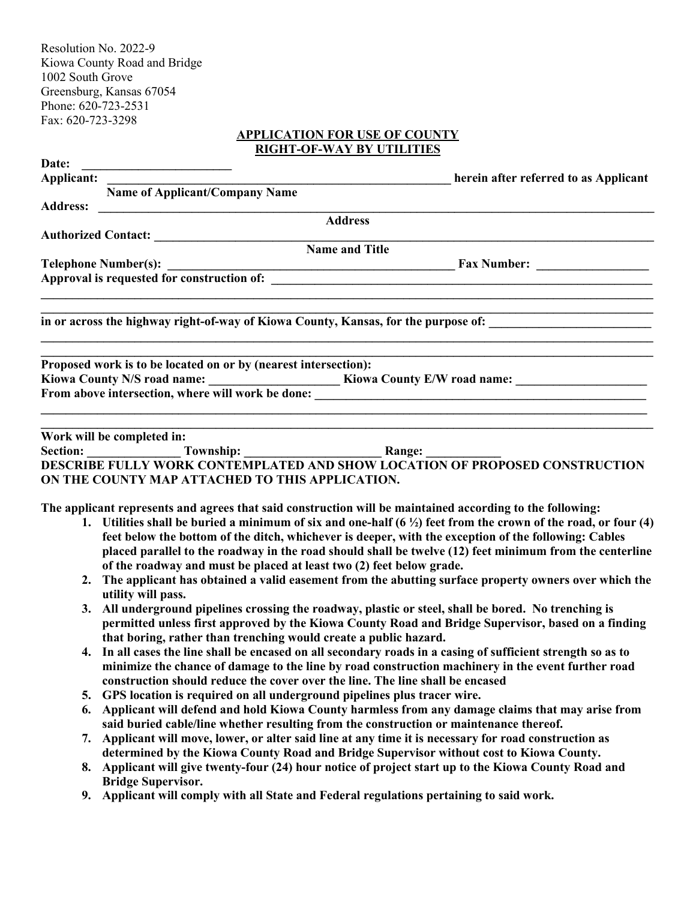Resolution No. 2022-9 Kiowa County Road and Bridge 1002 South Grove Greensburg, Kansas 67054 Phone: 620-723-2531 Fax: 620-723-3298

#### **APPLICATION FOR USE OF COUNTY RIGHT-OF-WAY BY UTILITIES**

| Date: | <u> 1989 - Johann Barbara, martxa alemani</u> ar a                                                                         |                                                                                                                                                                                                                                                                                                                                              |  |
|-------|----------------------------------------------------------------------------------------------------------------------------|----------------------------------------------------------------------------------------------------------------------------------------------------------------------------------------------------------------------------------------------------------------------------------------------------------------------------------------------|--|
|       | Applicant:                                                                                                                 | herein after referred to as Applicant                                                                                                                                                                                                                                                                                                        |  |
|       | Name of Applicant/Company Name                                                                                             |                                                                                                                                                                                                                                                                                                                                              |  |
|       |                                                                                                                            | <b>Address</b>                                                                                                                                                                                                                                                                                                                               |  |
|       | Authorized Contact: <u>Contact:</u> Name and Title                                                                         |                                                                                                                                                                                                                                                                                                                                              |  |
|       |                                                                                                                            |                                                                                                                                                                                                                                                                                                                                              |  |
|       |                                                                                                                            |                                                                                                                                                                                                                                                                                                                                              |  |
|       |                                                                                                                            |                                                                                                                                                                                                                                                                                                                                              |  |
|       |                                                                                                                            | in or across the highway right-of-way of Kiowa County, Kansas, for the purpose of:                                                                                                                                                                                                                                                           |  |
|       | Proposed work is to be located on or by (nearest intersection):                                                            | <u> 1989 - Johann John Harry Harry Harry Harry Harry Harry Harry Harry Harry Harry Harry Harry Harry Harry Harry</u>                                                                                                                                                                                                                         |  |
|       |                                                                                                                            |                                                                                                                                                                                                                                                                                                                                              |  |
|       |                                                                                                                            |                                                                                                                                                                                                                                                                                                                                              |  |
|       |                                                                                                                            | <u> 1999 - Johann John Stone, Amerikaansk politiker (d. 1989)</u>                                                                                                                                                                                                                                                                            |  |
|       | Work will be completed in:                                                                                                 | <u> 1989 - Johann Stoff, amerikansk politiker (d. 1989)</u>                                                                                                                                                                                                                                                                                  |  |
|       |                                                                                                                            | <b>Example 20 Completed Article 10.<br/> Section:</b> Township: Township: <b>Range: CONSTRUCTION OF PROPOSED CONSTRUCTION</b><br>DESCRIBE FULLY WORK CONTEMPLATED AND SHOW LOCATION OF PROPOSED CONSTRUCTION                                                                                                                                 |  |
|       |                                                                                                                            |                                                                                                                                                                                                                                                                                                                                              |  |
|       | ON THE COUNTY MAP ATTACHED TO THIS APPLICATION.                                                                            |                                                                                                                                                                                                                                                                                                                                              |  |
|       |                                                                                                                            | The applicant represents and agrees that said construction will be maintained according to the following:                                                                                                                                                                                                                                    |  |
|       | of the roadway and must be placed at least two (2) feet below grade.                                                       | 1. Utilities shall be buried a minimum of six and one-half $(6 \frac{1}{2})$ feet from the crown of the road, or four (4)<br>feet below the bottom of the ditch, whichever is deeper, with the exception of the following: Cables<br>placed parallel to the roadway in the road should shall be twelve (12) feet minimum from the centerline |  |
| 2.    | The applicant has obtained a valid easement from the abutting surface property owners over which the<br>utility will pass. |                                                                                                                                                                                                                                                                                                                                              |  |
|       |                                                                                                                            | 3. All underground pipelines crossing the roadway, plastic or steel, shall be bored. No trenching is<br>permitted unless first approved by the Kiowa County Road and Bridge Supervisor, based on a finding                                                                                                                                   |  |

- **that boring, rather than trenching would create a public hazard. 4. In all cases the line shall be encased on all secondary roads in a casing of sufficient strength so as to minimize the chance of damage to the line by road construction machinery in the event further road**
- **construction should reduce the cover over the line. The line shall be encased**
- **5. GPS location is required on all underground pipelines plus tracer wire.**
- **6. Applicant will defend and hold Kiowa County harmless from any damage claims that may arise from said buried cable/line whether resulting from the construction or maintenance thereof.**
- **7. Applicant will move, lower, or alter said line at any time it is necessary for road construction as determined by the Kiowa County Road and Bridge Supervisor without cost to Kiowa County.**
- **8. Applicant will give twenty-four (24) hour notice of project start up to the Kiowa County Road and Bridge Supervisor.**
- **9. Applicant will comply with all State and Federal regulations pertaining to said work.**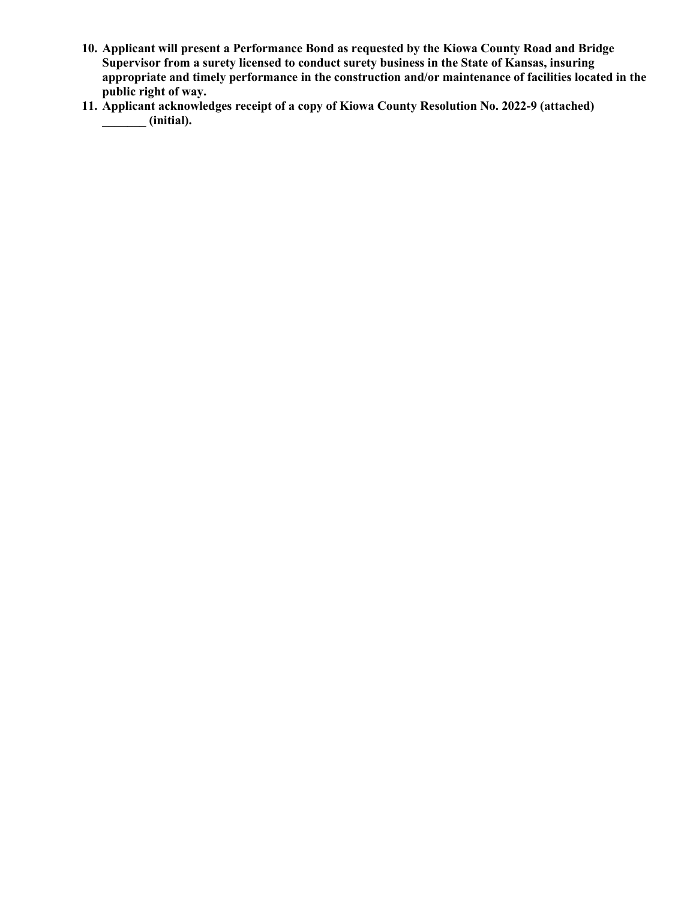- **10. Applicant will present a Performance Bond as requested by the Kiowa County Road and Bridge Supervisor from a surety licensed to conduct surety business in the State of Kansas, insuring appropriate and timely performance in the construction and/or maintenance of facilities located in the public right of way.**
- **11. Applicant acknowledges receipt of a copy of Kiowa County Resolution No. 2022-9 (attached) \_\_\_\_\_\_\_ (initial).**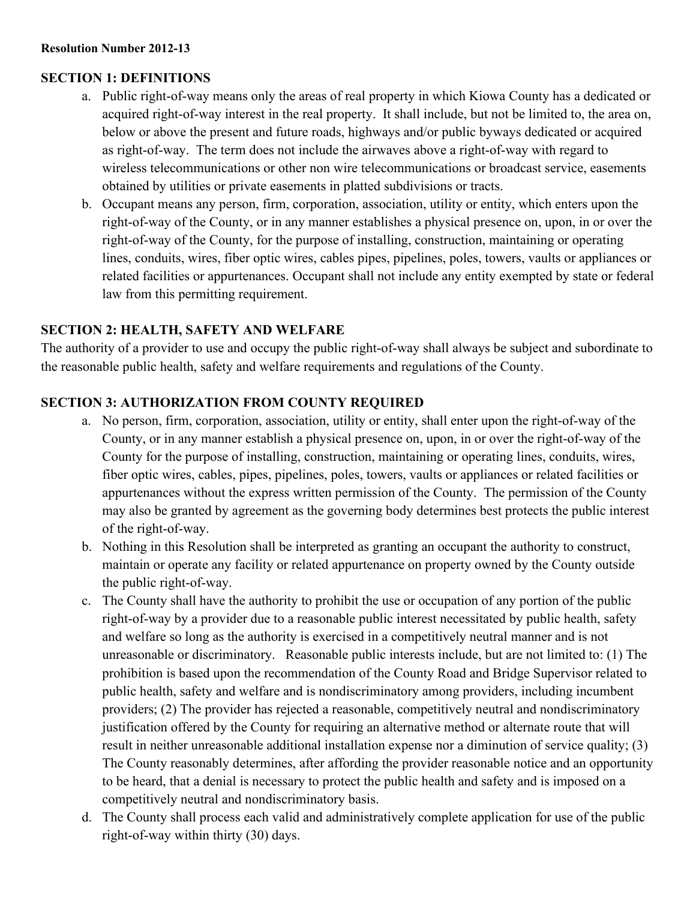## **SECTION 1: DEFINITIONS**

- a. Public right-of-way means only the areas of real property in which Kiowa County has a dedicated or acquired right-of-way interest in the real property. It shall include, but not be limited to, the area on, below or above the present and future roads, highways and/or public byways dedicated or acquired as right-of-way. The term does not include the airwaves above a right-of-way with regard to wireless telecommunications or other non wire telecommunications or broadcast service, easements obtained by utilities or private easements in platted subdivisions or tracts.
- b. Occupant means any person, firm, corporation, association, utility or entity, which enters upon the right-of-way of the County, or in any manner establishes a physical presence on, upon, in or over the right-of-way of the County, for the purpose of installing, construction, maintaining or operating lines, conduits, wires, fiber optic wires, cables pipes, pipelines, poles, towers, vaults or appliances or related facilities or appurtenances. Occupant shall not include any entity exempted by state or federal law from this permitting requirement.

### **SECTION 2: HEALTH, SAFETY AND WELFARE**

The authority of a provider to use and occupy the public right-of-way shall always be subject and subordinate to the reasonable public health, safety and welfare requirements and regulations of the County.

## **SECTION 3: AUTHORIZATION FROM COUNTY REQUIRED**

- a. No person, firm, corporation, association, utility or entity, shall enter upon the right-of-way of the County, or in any manner establish a physical presence on, upon, in or over the right-of-way of the County for the purpose of installing, construction, maintaining or operating lines, conduits, wires, fiber optic wires, cables, pipes, pipelines, poles, towers, vaults or appliances or related facilities or appurtenances without the express written permission of the County. The permission of the County may also be granted by agreement as the governing body determines best protects the public interest of the right-of-way.
- b. Nothing in this Resolution shall be interpreted as granting an occupant the authority to construct, maintain or operate any facility or related appurtenance on property owned by the County outside the public right-of-way.
- c. The County shall have the authority to prohibit the use or occupation of any portion of the public right-of-way by a provider due to a reasonable public interest necessitated by public health, safety and welfare so long as the authority is exercised in a competitively neutral manner and is not unreasonable or discriminatory. Reasonable public interests include, but are not limited to: (1) The prohibition is based upon the recommendation of the County Road and Bridge Supervisor related to public health, safety and welfare and is nondiscriminatory among providers, including incumbent providers; (2) The provider has rejected a reasonable, competitively neutral and nondiscriminatory justification offered by the County for requiring an alternative method or alternate route that will result in neither unreasonable additional installation expense nor a diminution of service quality; (3) The County reasonably determines, after affording the provider reasonable notice and an opportunity to be heard, that a denial is necessary to protect the public health and safety and is imposed on a competitively neutral and nondiscriminatory basis.
- d. The County shall process each valid and administratively complete application for use of the public right-of-way within thirty (30) days.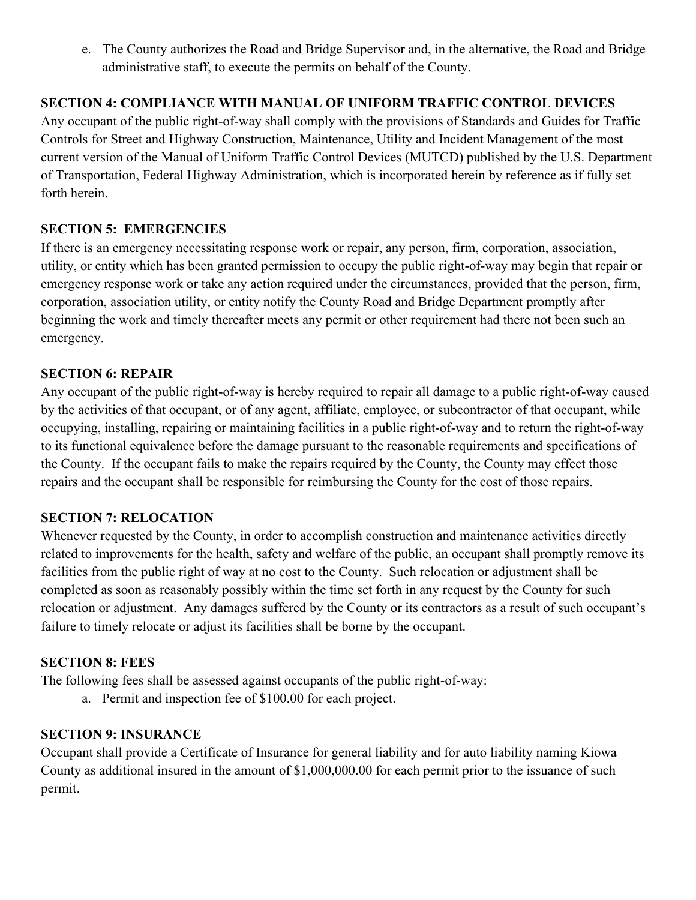e. The County authorizes the Road and Bridge Supervisor and, in the alternative, the Road and Bridge administrative staff, to execute the permits on behalf of the County.

### **SECTION 4: COMPLIANCE WITH MANUAL OF UNIFORM TRAFFIC CONTROL DEVICES**

Any occupant of the public right-of-way shall comply with the provisions of Standards and Guides for Traffic Controls for Street and Highway Construction, Maintenance, Utility and Incident Management of the most current version of the Manual of Uniform Traffic Control Devices (MUTCD) published by the U.S. Department of Transportation, Federal Highway Administration, which is incorporated herein by reference as if fully set forth herein.

### **SECTION 5: EMERGENCIES**

If there is an emergency necessitating response work or repair, any person, firm, corporation, association, utility, or entity which has been granted permission to occupy the public right-of-way may begin that repair or emergency response work or take any action required under the circumstances, provided that the person, firm, corporation, association utility, or entity notify the County Road and Bridge Department promptly after beginning the work and timely thereafter meets any permit or other requirement had there not been such an emergency.

### **SECTION 6: REPAIR**

Any occupant of the public right-of-way is hereby required to repair all damage to a public right-of-way caused by the activities of that occupant, or of any agent, affiliate, employee, or subcontractor of that occupant, while occupying, installing, repairing or maintaining facilities in a public right-of-way and to return the right-of-way to its functional equivalence before the damage pursuant to the reasonable requirements and specifications of the County. If the occupant fails to make the repairs required by the County, the County may effect those repairs and the occupant shall be responsible for reimbursing the County for the cost of those repairs.

### **SECTION 7: RELOCATION**

Whenever requested by the County, in order to accomplish construction and maintenance activities directly related to improvements for the health, safety and welfare of the public, an occupant shall promptly remove its facilities from the public right of way at no cost to the County. Such relocation or adjustment shall be completed as soon as reasonably possibly within the time set forth in any request by the County for such relocation or adjustment. Any damages suffered by the County or its contractors as a result of such occupant's failure to timely relocate or adjust its facilities shall be borne by the occupant.

### **SECTION 8: FEES**

The following fees shall be assessed against occupants of the public right-of-way:

a. Permit and inspection fee of \$100.00 for each project.

### **SECTION 9: INSURANCE**

Occupant shall provide a Certificate of Insurance for general liability and for auto liability naming Kiowa County as additional insured in the amount of \$1,000,000.00 for each permit prior to the issuance of such permit.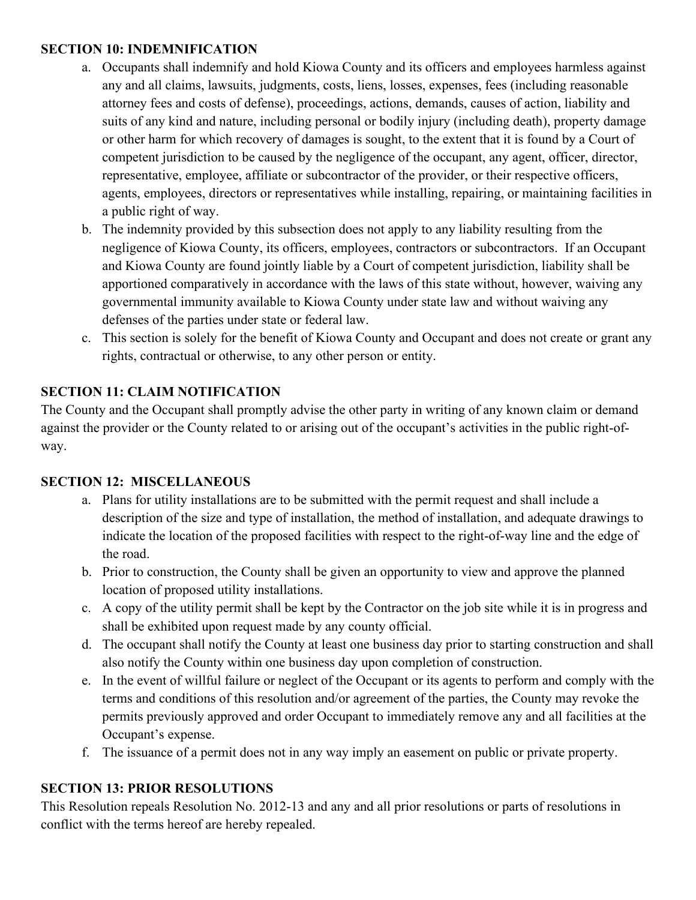### **SECTION 10: INDEMNIFICATION**

- a. Occupants shall indemnify and hold Kiowa County and its officers and employees harmless against any and all claims, lawsuits, judgments, costs, liens, losses, expenses, fees (including reasonable attorney fees and costs of defense), proceedings, actions, demands, causes of action, liability and suits of any kind and nature, including personal or bodily injury (including death), property damage or other harm for which recovery of damages is sought, to the extent that it is found by a Court of competent jurisdiction to be caused by the negligence of the occupant, any agent, officer, director, representative, employee, affiliate or subcontractor of the provider, or their respective officers, agents, employees, directors or representatives while installing, repairing, or maintaining facilities in a public right of way.
- b. The indemnity provided by this subsection does not apply to any liability resulting from the negligence of Kiowa County, its officers, employees, contractors or subcontractors. If an Occupant and Kiowa County are found jointly liable by a Court of competent jurisdiction, liability shall be apportioned comparatively in accordance with the laws of this state without, however, waiving any governmental immunity available to Kiowa County under state law and without waiving any defenses of the parties under state or federal law.
- c. This section is solely for the benefit of Kiowa County and Occupant and does not create or grant any rights, contractual or otherwise, to any other person or entity.

# **SECTION 11: CLAIM NOTIFICATION**

The County and the Occupant shall promptly advise the other party in writing of any known claim or demand against the provider or the County related to or arising out of the occupant's activities in the public right-ofway.

# **SECTION 12: MISCELLANEOUS**

- a. Plans for utility installations are to be submitted with the permit request and shall include a description of the size and type of installation, the method of installation, and adequate drawings to indicate the location of the proposed facilities with respect to the right-of-way line and the edge of the road.
- b. Prior to construction, the County shall be given an opportunity to view and approve the planned location of proposed utility installations.
- c. A copy of the utility permit shall be kept by the Contractor on the job site while it is in progress and shall be exhibited upon request made by any county official.
- d. The occupant shall notify the County at least one business day prior to starting construction and shall also notify the County within one business day upon completion of construction.
- e. In the event of willful failure or neglect of the Occupant or its agents to perform and comply with the terms and conditions of this resolution and/or agreement of the parties, the County may revoke the permits previously approved and order Occupant to immediately remove any and all facilities at the Occupant's expense.
- f. The issuance of a permit does not in any way imply an easement on public or private property.

# **SECTION 13: PRIOR RESOLUTIONS**

This Resolution repeals Resolution No. 2012-13 and any and all prior resolutions or parts of resolutions in conflict with the terms hereof are hereby repealed.